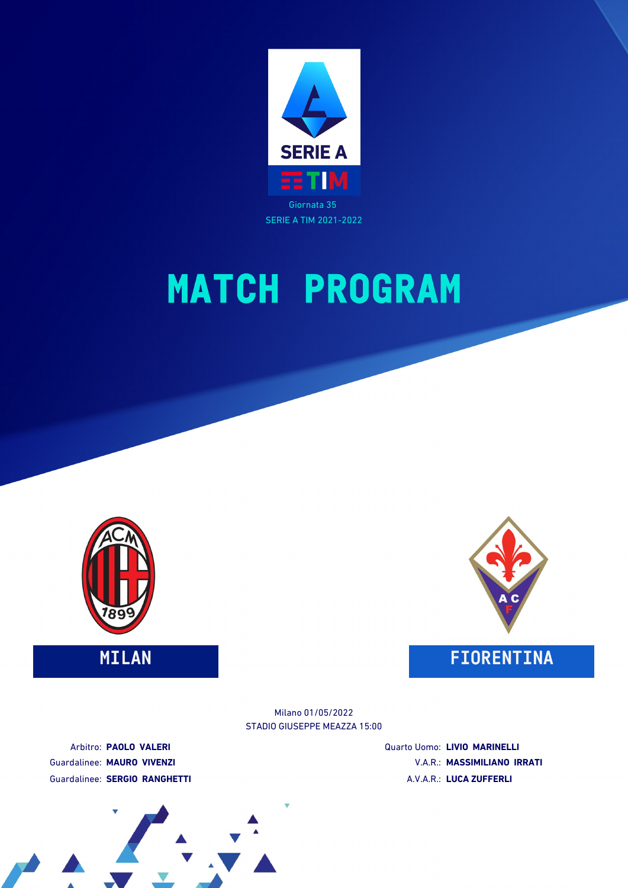





**MILAN FIORENTINA**

STADIO GIUSEPPE MEAZZA 15:00 Milano 01/05/2022

Arbitro: **PAOLO VALERI** Guardalinee: **MAURO VIVENZI** Guardalinee: **SERGIO RANGHETTI** Quarto Uomo: **LIVIO MARINELLI** V.A.R.: **MASSIMILIANO IRRATI** A.V.A.R.: **LUCA ZUFFERLI**

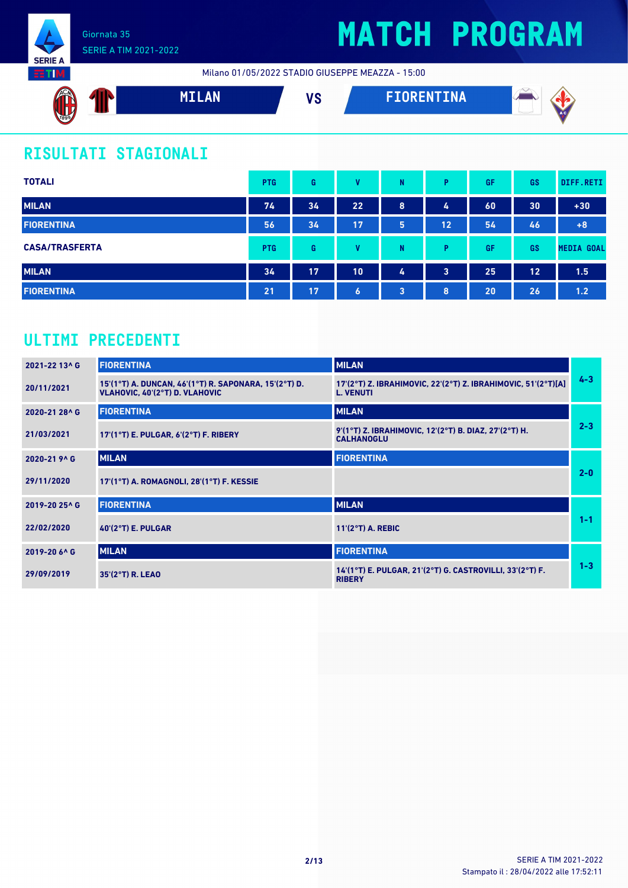

# **MATCH PROGRAM**

Milano 01/05/2022 STADIO GIUSEPPE MEAZZA - 15:00



### **RISULTATI STAGIONALI**

| <b>TOTALI</b>         | <b>PTG</b> | G  | v  | N | Þ                       | GF | GS | DIFF.RETI         |
|-----------------------|------------|----|----|---|-------------------------|----|----|-------------------|
| <b>MILAN</b>          | 74         | 34 | 22 | 8 | 4                       | 60 | 30 | $+30$             |
| <b>FIORENTINA</b>     | 56         | 34 | 17 | 5 | 12                      | 54 | 46 | $+8$              |
| <b>CASA/TRASFERTA</b> | <b>PTG</b> | G  | v  | N | D                       | GF | GS | <b>MEDIA GOAL</b> |
| <b>MILAN</b>          | 34         | 17 | 10 | 4 | $\overline{\mathbf{3}}$ | 25 | 12 | 1.5               |
| <b>FIORENTINA</b>     | 21         | 17 | 6  | 3 | 8                       | 20 | 26 | 1.2               |

### **ULTIMI PRECEDENTI**

| 2021-22 13^ G | <b>FIORENTINA</b>                                                                       | <b>MILAN</b>                                                                      |         |
|---------------|-----------------------------------------------------------------------------------------|-----------------------------------------------------------------------------------|---------|
| 20/11/2021    | 15'(1°T) A. DUNCAN, 46'(1°T) R. SAPONARA, 15'(2°T) D.<br>VLAHOVIC, 40'(2°T) D. VLAHOVIC | 17'(2°T) Z. IBRAHIMOVIC, 22'(2°T) Z. IBRAHIMOVIC, 51'(2°T)[A]<br><b>L. VENUTI</b> | $4 - 3$ |
| 2020-21 28^ G | <b>FIORENTINA</b>                                                                       | <b>MILAN</b>                                                                      |         |
| 21/03/2021    | 17'(1°T) E. PULGAR, 6'(2°T) F. RIBERY                                                   | 9'(1°T) Z. IBRAHIMOVIC, 12'(2°T) B. DIAZ, 27'(2°T) H.<br><b>CALHANOGLU</b>        | $2 - 3$ |
| 2020-21 9^ G  | <b>MILAN</b>                                                                            | <b>FIORENTINA</b>                                                                 |         |
| 29/11/2020    | 17'(1°T) A. ROMAGNOLI, 28'(1°T) F. KESSIE                                               |                                                                                   | $2 - 0$ |
| 2019-20 25^ G | <b>FIORENTINA</b>                                                                       | <b>MILAN</b>                                                                      |         |
| 22/02/2020    | $40'(2°T)$ E. PULGAR                                                                    | $11'(2°T)$ A. REBIC                                                               | $1 - 1$ |
| 2019-20 6^ G  | <b>MILAN</b>                                                                            | <b>FIORENTINA</b>                                                                 |         |
| 29/09/2019    | $35'(2°T)$ R. LEAO                                                                      | 14'(1°T) E. PULGAR, 21'(2°T) G. CASTROVILLI, 33'(2°T) F.<br><b>RIBERY</b>         | $1 - 3$ |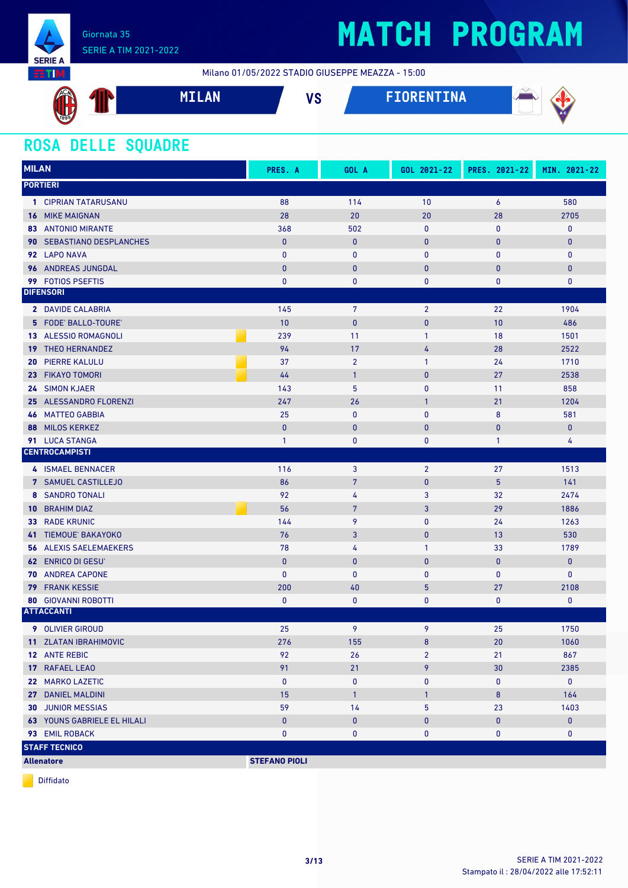

Milano 01/05/2022 STADIO GIUSEPPE MEAZZA - 15:00



### **ROSA DELLE SQUADRE**

| <b>MILAN</b>                          | PRES. A              | GOL A          | GOL 2021-22    | PRES. 2021-22    | MIN. 2021-22 |
|---------------------------------------|----------------------|----------------|----------------|------------------|--------------|
| <b>PORTIERI</b>                       |                      |                |                |                  |              |
| 1 CIPRIAN TATARUSANU                  | 88                   | 114            | 10             | $\boldsymbol{6}$ | 580          |
| <b>16 MIKE MAIGNAN</b>                | 28                   | 20             | 20             | 28               | 2705         |
| <b>83 ANTONIO MIRANTE</b>             | 368                  | 502            | 0              | $\bf{0}$         | $\bf{0}$     |
| SEBASTIANO DESPLANCHES<br>90.         | $\mathbf{0}$         | $\mathbf{0}$   | $\mathbf{0}$   | 0                | $\mathbf{0}$ |
| 92 LAPO NAVA                          | $\mathbf{0}$         | $\mathbf{0}$   | 0              | 0                | $\pmb{0}$    |
| 96 ANDREAS JUNGDAL                    | $\bf{0}$             | $\bf{0}$       | $\mathbf 0$    | 0                | $\pmb{0}$    |
| 99 FOTIOS PSEFTIS                     | 0                    | 0              | 0              | 0                | 0            |
| <b>DIFENSORI</b>                      |                      |                |                |                  |              |
| 2 DAVIDE CALABRIA                     | 145                  | 7              | $\overline{2}$ | 22               | 1904         |
| 5 FODE' BALLO-TOURE'                  | 10                   | $\pmb{0}$      | $\mathbf{0}$   | 10               | 486          |
| 13 ALESSIO ROMAGNOLI                  | 239                  | 11             | 1              | 18               | 1501         |
| <b>THEO HERNANDEZ</b><br>19           | 94                   | 17             | 4              | 28               | 2522         |
| <b>PIERRE KALULU</b><br>20            | 37                   | $\overline{2}$ | 1              | 24               | 1710         |
| 23 FIKAYO TOMORI                      | 44                   | $\mathbf{1}$   | $\mathbf 0$    | 27               | 2538         |
| 24 SIMON KJAER                        | 143                  | 5              | 0              | 11               | 858          |
| 25 ALESSANDRO FLORENZI                | 247                  | 26             | $\mathbf{1}$   | 21               | 1204         |
| <b>MATTEO GABBIA</b><br>46            | 25                   | $\bf{0}$       | 0              | 8                | 581          |
| <b>MILOS KERKEZ</b><br>88             | $\bf{0}$             | $\mathbf{0}$   | $\mathbf{0}$   | 0                | $\pmb{0}$    |
| 91 LUCA STANGA                        | $\mathbf{1}$         | 0              | 0              | $\mathbf{1}$     | 4            |
| <b>CENTROCAMPISTI</b>                 |                      |                |                |                  |              |
| 4 ISMAEL BENNACER                     | 116                  | 3              | $\overline{2}$ | 27               | 1513         |
| 7 SAMUEL CASTILLEJO                   | 86                   | $\overline{7}$ | $\mathbf 0$    | 5                | 141          |
| 8 SANDRO TONALI                       | 92                   | 4              | 3              | 32               | 2474         |
| <b>10 BRAHIM DIAZ</b>                 | 56                   | $\overline{7}$ | 3              | 29               | 1886         |
| <b>RADE KRUNIC</b><br>33 <sup>°</sup> | 144                  | 9              | 0              | 24               | 1263         |
| 41 TIEMOUE' BAKAYOKO                  | 76                   | 3              | $\mathbf 0$    | 13               | 530          |
| <b>ALEXIS SAELEMAEKERS</b><br>56      | 78                   | 4              | 1              | 33               | 1789         |
| <b>62 ENRICO DI GESU</b>              | $\mathbf{0}$         | $\mathbf{0}$   | $\bf{0}$       | 0                | $\pmb{0}$    |
| <b>ANDREA CAPONE</b><br>70            | $\mathbf{0}$         | 0              | 0              | 0                | $\bf{0}$     |
| <b>FRANK KESSIE</b><br>79             | 200                  | 40             | 5              | 27               | 2108         |
| <b>80 GIOVANNI ROBOTTI</b>            | 0                    | 0              | 0              | 0                | 0            |
| <b>ATTACCANTI</b>                     |                      |                |                |                  |              |
| <b>9</b> OLIVIER GIROUD               | 25                   | 9              | 9              | 25               | 1750         |
| 11 ZLATAN IBRAHIMOVIC                 | 276                  | 155            | 8              | 20               | 1060         |
| 12 ANTE REBIC                         | 92                   | 26             | $\overline{2}$ | 21               | 867          |
| 17 RAFAEL LEAO                        | 91                   | 21             | 9              | 30               | 2385         |
| 22 MARKO LAZETIC                      | 0                    | 0              | 0              | 0                | $\bf{0}$     |
| 27 DANIEL MALDINI                     | 15                   | $\mathbf{1}$   | $\mathbf{1}$   | 8                | 164          |
| <b>30 JUNIOR MESSIAS</b>              | 59                   | 14             | 5              | 23               | 1403         |
| <b>63 YOUNS GABRIELE EL HILALI</b>    | $\pmb{0}$            | $\pmb{0}$      | $\pmb{0}$      | 0                | $\pmb{0}$    |
| 93 EMIL ROBACK                        | 0                    | 0              | 0              | 0                | 0            |
| <b>STAFF TECNICO</b>                  |                      |                |                |                  |              |
| <b>Allenatore</b>                     | <b>STEFANO PIOLI</b> |                |                |                  |              |

Diffidato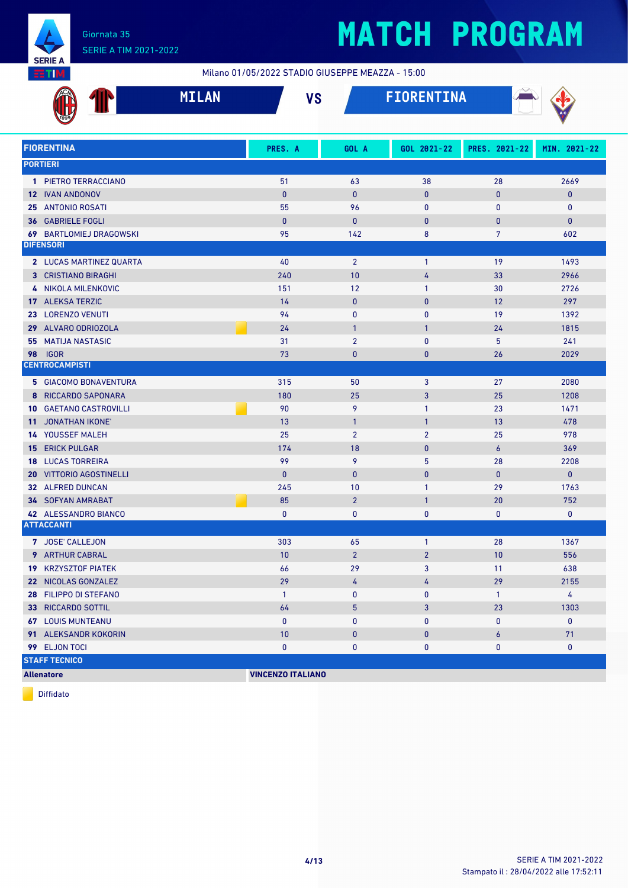

Milano 01/05/2022 STADIO GIUSEPPE MEAZZA - 15:00

|      |                              | <b>MILAN</b> | <b>VS</b>                |                | <b>FIORENTINA</b> |                  |              |
|------|------------------------------|--------------|--------------------------|----------------|-------------------|------------------|--------------|
|      |                              |              |                          |                |                   |                  |              |
|      | <b>FIORENTINA</b>            |              | PRES. A                  | GOL A          | GOL 2021-22       | PRES. 2021-22    | MIN. 2021-22 |
|      | <b>PORTIERI</b>              |              |                          |                |                   |                  |              |
|      | 1 PIETRO TERRACCIANO         |              | 51                       | 63             | 38                | 28               | 2669         |
|      | <b>12 IVAN ANDONOV</b>       |              | $\mathbf{0}$             | $\mathbf{0}$   | 0                 | $\mathbf{0}$     | $\mathbf{0}$ |
|      | 25 ANTONIO ROSATI            |              | 55                       | 96             | 0                 | $\mathbf{0}$     | $\bf{0}$     |
| 36   | <b>GABRIELE FOGLI</b>        |              | $\mathbf{0}$             | $\mathbf{0}$   | 0                 | $\mathbf{0}$     | $\mathbf{0}$ |
| 69   | <b>BARTLOMIEJ DRAGOWSKI</b>  |              | 95                       | 142            | 8                 | $\overline{7}$   | 602          |
|      | <b>DIFENSORI</b>             |              |                          |                |                   |                  |              |
|      | 2 LUCAS MARTINEZ QUARTA      |              | 40                       | $\overline{2}$ | $\mathbf{1}$      | 19               | 1493         |
|      | <b>3 CRISTIANO BIRAGHI</b>   |              | 240                      | 10             | 4                 | 33               | 2966         |
| 4    | NIKOLA MILENKOVIC            |              | 151                      | 12             | 1                 | 30               | 2726         |
|      | 17 ALEKSA TERZIC             |              | 14                       | $\mathbf{0}$   | $\bf{0}$          | 12               | 297          |
|      | 23 LORENZO VENUTI            |              | 94                       | $\mathbf{0}$   | 0                 | 19               | 1392         |
|      | 29 ALVARO ODRIOZOLA          |              | 24                       | $\mathbf{1}$   | $\mathbf{1}$      | 24               | 1815         |
| 55   | <b>MATIJA NASTASIC</b>       |              | 31                       | $\overline{2}$ | 0                 | 5                | 241          |
| 98   | <b>IGOR</b>                  |              | 73                       | $\bf{0}$       | 0                 | 26               | 2029         |
|      | <b>CENTROCAMPISTI</b>        |              |                          |                |                   |                  |              |
|      | <b>5 GIACOMO BONAVENTURA</b> |              | 315                      | 50             | 3                 | 27               | 2080         |
| 8    | RICCARDO SAPONARA            |              | 180                      | 25             | 3                 | 25               | 1208         |
| 10   | <b>GAETANO CASTROVILLI</b>   |              | 90                       | 9              | $\mathbf{1}$      | 23               | 1471         |
| 11.  | <b>JONATHAN IKONE'</b>       |              | 13                       | $\mathbf{1}$   | $\mathbf{1}$      | 13               | 478          |
|      | <b>14 YOUSSEF MALEH</b>      |              | 25                       | $\overline{2}$ | $\overline{2}$    | 25               | 978          |
|      | <b>15 ERICK PULGAR</b>       |              | 174                      | 18             | 0                 | 6                | 369          |
| 18   | <b>LUCAS TORREIRA</b>        |              | 99                       | 9              | 5                 | 28               | 2208         |
| 20 - | <b>VITTORIO AGOSTINELLI</b>  |              | $\mathbf{0}$             | $\mathbf{0}$   | $\bf{0}$          | $\mathbf{0}$     | $\pmb{0}$    |
|      | 32 ALFRED DUNCAN             |              | 245                      | 10             | 1                 | 29               | 1763         |
|      | <b>34 SOFYAN AMRABAT</b>     |              | 85                       | $\overline{2}$ | $\mathbf{1}$      | 20               | 752          |
|      | 42 ALESSANDRO BIANCO         |              | 0                        | 0              | 0                 | 0                | 0            |
|      | <b>ATTACCANTI</b>            |              |                          |                |                   |                  |              |
|      | 7 JOSE' CALLEJON             |              | 303                      | 65             | $\mathbf{1}$      | 28               | 1367         |
|      | <b>9</b> ARTHUR CABRAL       |              | 10                       | $\overline{2}$ | $\overline{2}$    | 10               | 556          |
|      | <b>19 KRZYSZTOF PIATEK</b>   |              | 66                       | 29             | 3                 | 11               | 638          |
|      | 22 NICOLAS GONZALEZ          |              | 29                       | 4              | 4                 | 29               | 2155         |
|      | 28 FILIPPO DI STEFANO        |              | $\mathbf{1}$             | 0              | 0                 | $\mathbf{1}$     | 4            |
|      | <b>33 RICCARDO SOTTIL</b>    |              | 64                       | 5              | 3                 | 23               | 1303         |
|      | <b>67 LOUIS MUNTEANU</b>     |              | $\bf{0}$                 | 0              | 0                 | 0                | 0            |
|      | 91 ALEKSANDR KOKORIN         |              | 10                       | $\pmb{0}$      | $\pmb{0}$         | $\boldsymbol{6}$ | 71           |
|      | 99 ELJON TOCI                |              | 0                        | 0              | 0                 | 0                | 0            |
|      | <b>STAFF TECNICO</b>         |              |                          |                |                   |                  |              |
|      | <b>Allenatore</b>            |              | <b>VINCENZO ITALIANO</b> |                |                   |                  |              |

Diffidato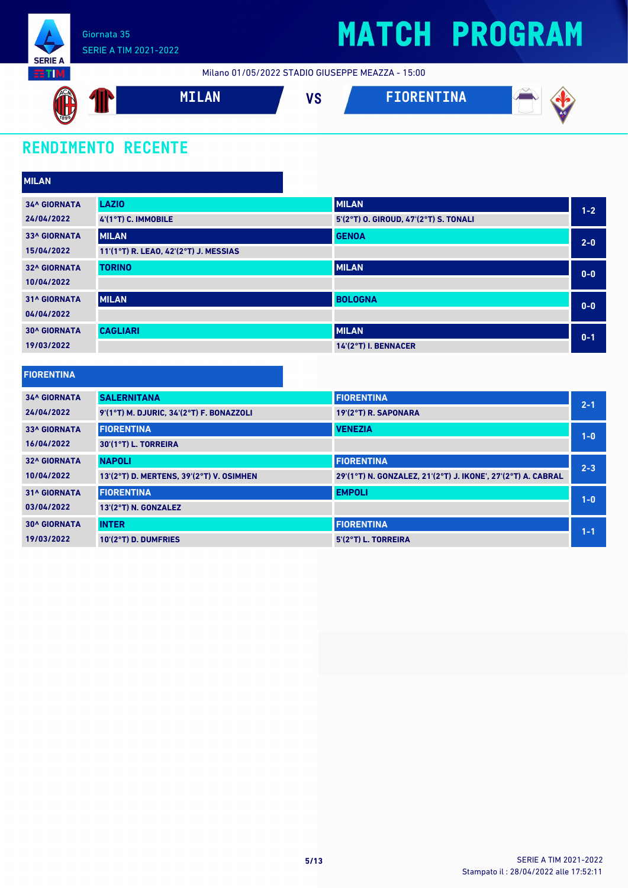

Milano 01/05/2022 STADIO GIUSEPPE MEAZZA - 15:00



### **RENDIMENTO RECENTE**

| <b>MILAN</b>        |                                       |                                       |         |
|---------------------|---------------------------------------|---------------------------------------|---------|
| <b>34^ GIORNATA</b> | <b>LAZIO</b>                          | <b>MILAN</b>                          | $1 - 2$ |
| 24/04/2022          | 4'(1°T) C. IMMOBILE                   | 5'(2°T) O. GIROUD, 47'(2°T) S. TONALI |         |
| <b>33^ GIORNATA</b> | <b>MILAN</b>                          | <b>GENOA</b>                          | $2 - 0$ |
| 15/04/2022          | 11'(1°T) R. LEAO, 42'(2°T) J. MESSIAS |                                       |         |
| <b>32^ GIORNATA</b> | <b>TORINO</b>                         | <b>MILAN</b>                          | $0 - 0$ |
| 10/04/2022          |                                       |                                       |         |
| <b>31^ GIORNATA</b> | <b>MILAN</b>                          | <b>BOLOGNA</b>                        | $0 - 0$ |
| 04/04/2022          |                                       |                                       |         |
| <b>30^ GIORNATA</b> | <b>CAGLIARI</b>                       | <b>MILAN</b>                          | $0 - 1$ |
| 19/03/2022          |                                       | 14'(2°T) I. BENNACER                  |         |

| <b>FIORENTINA</b>   |                                          |                                                              |         |
|---------------------|------------------------------------------|--------------------------------------------------------------|---------|
| <b>34^ GIORNATA</b> | <b>SALERNITANA</b>                       | <b>FIORENTINA</b>                                            | $2 - 1$ |
| 24/04/2022          | 9'(1°T) M. DJURIC, 34'(2°T) F. BONAZZOLI | 19'(2°T) R. SAPONARA                                         |         |
| <b>33^ GIORNATA</b> | <b>FIORENTINA</b>                        | <b>VENEZIA</b>                                               | $1 - 0$ |
| 16/04/2022          | 30'(1°T) L. TORREIRA                     |                                                              |         |
| <b>32^ GIORNATA</b> | <b>NAPOLI</b>                            | <b>FIORENTINA</b>                                            | $2 - 3$ |
| 10/04/2022          | 13'(2°T) D. MERTENS, 39'(2°T) V. OSIMHEN | 29'(1°T) N. GONZALEZ, 21'(2°T) J. IKONE', 27'(2°T) A. CABRAL |         |
| <b>31^ GIORNATA</b> | <b>FIORENTINA</b>                        | <b>EMPOLI</b>                                                | $1 - 0$ |
| 03/04/2022          | 13'(2°T) N. GONZALEZ                     |                                                              |         |
| <b>30^ GIORNATA</b> | <b>INTER</b>                             | <b>FIORENTINA</b>                                            | $1 - 1$ |
| 19/03/2022          | 10'(2°T) D. DUMFRIES                     | 5'(2°T) L. TORREIRA                                          |         |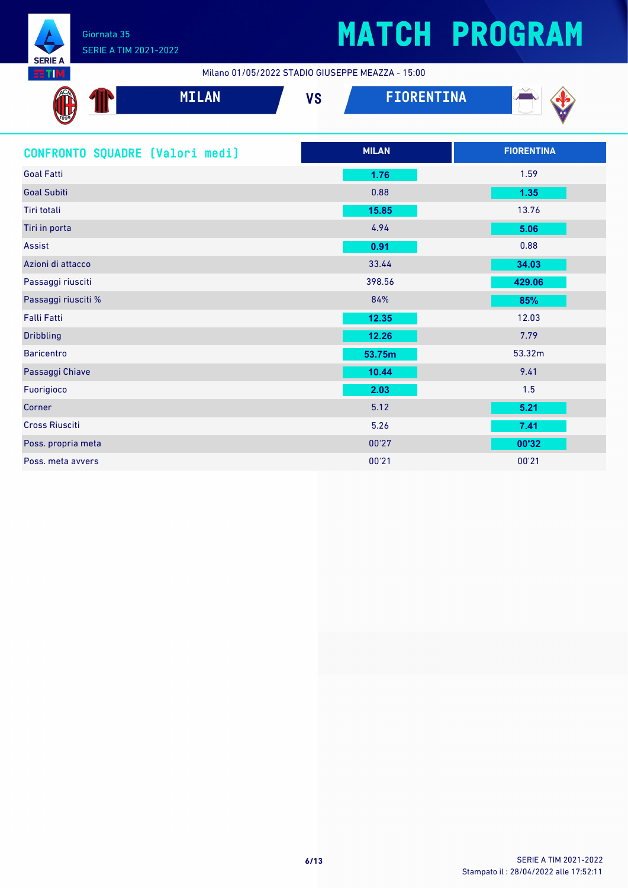

Milano 01/05/2022 STADIO GIUSEPPE MEAZZA - 15:00

| <b>STATISTICS</b>               |              | Mitano 6176372622 31ABIO 616321 1 E MEAZZA - 13.00 |                   |                   |
|---------------------------------|--------------|----------------------------------------------------|-------------------|-------------------|
|                                 | <b>MILAN</b> | <b>VS</b>                                          | <b>FIORENTINA</b> |                   |
| CONFRONTO SQUADRE [Valori medi] |              |                                                    | <b>MILAN</b>      | <b>FIORENTINA</b> |
| <b>Goal Fatti</b>               |              |                                                    | 1.76              | 1.59              |
| <b>Goal Subiti</b>              |              |                                                    | 0.88              | 1.35              |
| Tiri totali                     |              |                                                    | 15.85             | 13.76             |
| Tiri in porta                   |              |                                                    | 4.94              | 5.06              |
| Assist                          |              |                                                    | 0.91              | 0.88              |
| Azioni di attacco               |              |                                                    | 33.44             | 34.03             |
| Passaggi riusciti               |              |                                                    | 398.56            | 429.06            |
| Passaggi riusciti %             |              |                                                    | 84%               | 85%               |
| Falli Fatti                     |              |                                                    | 12.35             | 12.03             |
| <b>Dribbling</b>                |              |                                                    | 12.26             | 7.79              |
| <b>Baricentro</b>               |              |                                                    | 53.75m            | 53.32m            |
| Passaggi Chiave                 |              |                                                    | 10.44             | 9.41              |
| Fuorigioco                      |              |                                                    | 2.03              | 1.5               |
| Corner                          |              |                                                    | 5.12              | 5.21              |
| <b>Cross Riusciti</b>           |              |                                                    | 5.26              | 7.41              |
| Poss. propria meta              |              |                                                    | 00'27             | 00'32             |
| Poss, meta avvers               |              |                                                    | 00'21             | 00'21             |

I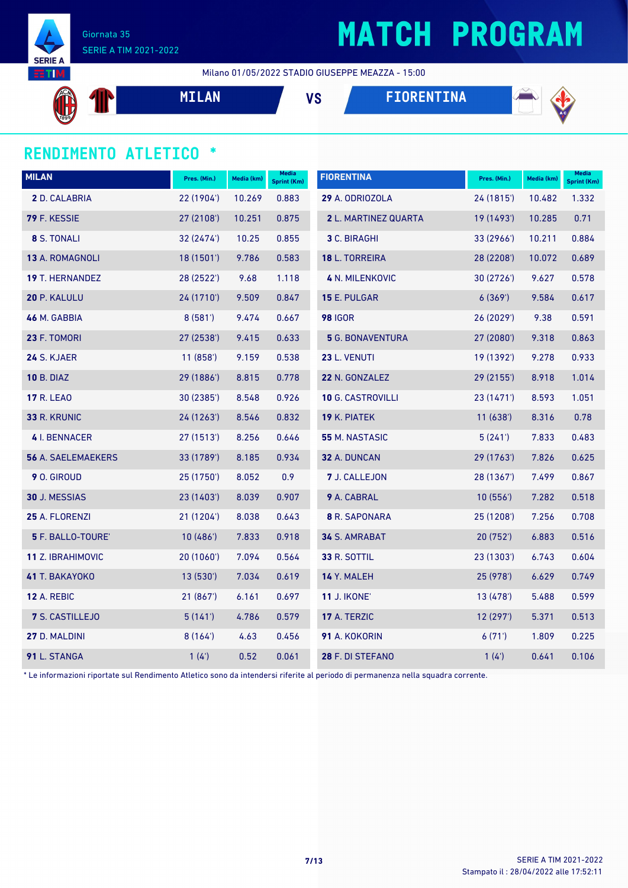

## **MATCH PROGRAM**

Milano 01/05/2022 STADIO GIUSEPPE MEAZZA - 15:00

**MILAN VS FIORENTINA**



### **RENDIMENTO ATLETICO \***

| <b>MILAN</b>              | Pres. (Min.) | Media (km) | Media<br><b>Sprint (Km)</b> | <b>FIORENTINA</b>        | Pres. (Min.) | Media (km) | <b>Media</b><br><b>Sprint (Km)</b> |
|---------------------------|--------------|------------|-----------------------------|--------------------------|--------------|------------|------------------------------------|
| 2 D. CALABRIA             | 22 (1904')   | 10.269     | 0.883                       | 29 A. ODRIOZOLA          | 24 (1815')   | 10.482     | 1.332                              |
| 79 F. KESSIE              | 27 (2108')   | 10.251     | 0.875                       | 2 L. MARTINEZ QUARTA     | 19 (1493')   | 10.285     | 0.71                               |
| 8 S. TONALI               | 32 (2474')   | 10.25      | 0.855                       | 3 C. BIRAGHI             | 33 (2966')   | 10.211     | 0.884                              |
| 13 A. ROMAGNOLI           | 18(1501)     | 9.786      | 0.583                       | 18 L. TORREIRA           | 28 (2208')   | 10.072     | 0.689                              |
| 19 T. HERNANDEZ           | 28 (2522')   | 9.68       | 1.118                       | <b>4 N. MILENKOVIC</b>   | 30 (2726')   | 9.627      | 0.578                              |
| 20 P. KALULU              | 24 (1710')   | 9.509      | 0.847                       | 15 E. PULGAR             | 6(369)       | 9.584      | 0.617                              |
| 46 M. GABBIA              | 8(581)       | 9.474      | 0.667                       | <b>98 IGOR</b>           | 26 (2029')   | 9.38       | 0.591                              |
| 23 F. TOMORI              | 27 (2538')   | 9.415      | 0.633                       | <b>5 G. BONAVENTURA</b>  | 27 (2080')   | 9.318      | 0.863                              |
| 24 S. KJAER               | 11(858)      | 9.159      | 0.538                       | 23 L. VENUTI             | 19 (1392')   | 9.278      | 0.933                              |
| <b>10 B. DIAZ</b>         | 29 (1886')   | 8.815      | 0.778                       | 22 N. GONZALEZ           | 29 (2155')   | 8.918      | 1.014                              |
| <b>17 R. LEAO</b>         | 30 (2385')   | 8.548      | 0.926                       | <b>10 G. CASTROVILLI</b> | 23 (1471')   | 8.593      | 1.051                              |
| 33 R. KRUNIC              | 24 (1263')   | 8.546      | 0.832                       | 19 K. PIATEK             | 11(638)      | 8.316      | 0.78                               |
| <b>4</b> I. BENNACER      | 27 (1513')   | 8.256      | 0.646                       | 55 M. NASTASIC           | 5(241)       | 7.833      | 0.483                              |
| <b>56 A. SAELEMAEKERS</b> | 33 (1789')   | 8.185      | 0.934                       | 32 A. DUNCAN             | 29 (1763')   | 7.826      | 0.625                              |
| 9 O. GIROUD               | 25 (1750')   | 8.052      | 0.9                         | 7 J. CALLEJON            | 28 (1367')   | 7.499      | 0.867                              |
| 30 J. MESSIAS             | 23 (1403')   | 8.039      | 0.907                       | 9 A. CABRAL              | 10(556)      | 7.282      | 0.518                              |
| 25 A. FLORENZI            | 21 (1204')   | 8.038      | 0.643                       | <b>8</b> R. SAPONARA     | 25 (1208')   | 7.256      | 0.708                              |
| 5 F. BALLO-TOURE'         | 10(486)      | 7.833      | 0.918                       | 34 S. AMRABAT            | 20 (752')    | 6.883      | 0.516                              |
| <b>11 Z. IBRAHIMOVIC</b>  | 20 (1060')   | 7.094      | 0.564                       | 33 R. SOTTIL             | 23 (1303')   | 6.743      | 0.604                              |
| 41 T. BAKAYOKO            | 13 (530')    | 7.034      | 0.619                       | 14 Y. MALEH              | 25 (978')    | 6.629      | 0.749                              |
| 12 A. REBIC               | 21 (867')    | 6.161      | 0.697                       | <b>11 J. IKONE'</b>      | 13 (478')    | 5.488      | 0.599                              |
| 7 S. CASTILLEJO           | 5(141)       | 4.786      | 0.579                       | 17 A. TERZIC             | 12 (297')    | 5.371      | 0.513                              |
| 27 D. MALDINI             | 8(164)       | 4.63       | 0.456                       | 91 A. KOKORIN            | 6(71)        | 1.809      | 0.225                              |
| 91 L. STANGA              | 1(4)         | 0.52       | 0.061                       | 28 F. DI STEFANO         | 1(4)         | 0.641      | 0.106                              |

\* Le informazioni riportate sul Rendimento Atletico sono da intendersi riferite al periodo di permanenza nella squadra corrente.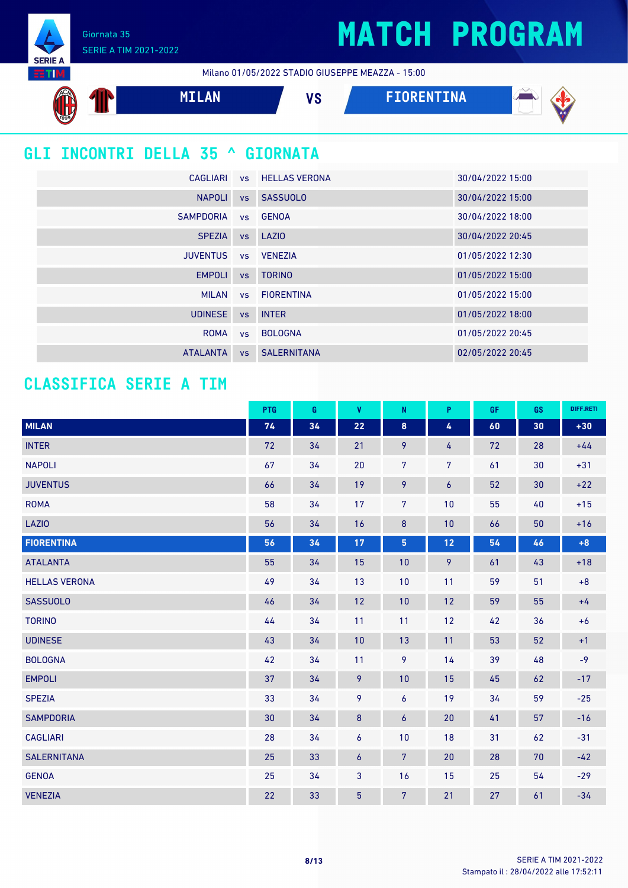Giornata 35 SERIE A TIM 2021-2022

**SERIE A** 

Milano 01/05/2022 STADIO GIUSEPPE MEAZZA - 15:00



|                 |           | CAGLIARI VS HELLAS VERONA | 30/04/2022 15:00 |
|-----------------|-----------|---------------------------|------------------|
| <b>NAPOLI</b>   | VS        | SASSUOLO                  | 30/04/2022 15:00 |
| SAMPDORIA       |           | vs GENOA                  | 30/04/2022 18:00 |
| <b>SPEZIA</b>   |           | vs LAZIO                  | 30/04/2022 20:45 |
| <b>JUVENTUS</b> |           | vs VENEZIA                | 01/05/2022 12:30 |
| <b>EMPOLI</b>   |           | vs TORINO                 | 01/05/2022 15:00 |
|                 |           | MILAN vs FIORENTINA       | 01/05/2022 15:00 |
| <b>UDINESE</b>  |           | vs INTER                  | 01/05/2022 18:00 |
| ROMA            | VS        | <b>BOLOGNA</b>            | 01/05/2022 20:45 |
| <b>ATALANTA</b> | <b>VS</b> | <b>SALERNITANA</b>        | 02/05/2022 20:45 |

### **CLASSIFICA SERIE A TIM**

|                      | PTG | G  | V                | $\mathsf{N}$     | P.             | <b>GF</b> | <b>GS</b> | DIFF.RETI |
|----------------------|-----|----|------------------|------------------|----------------|-----------|-----------|-----------|
| <b>MILAN</b>         | 74  | 34 | 22               | 8                | 4              | 60        | 30        | $+30$     |
| <b>INTER</b>         | 72  | 34 | 21               | 9                | 4              | 72        | 28        | $+44$     |
| <b>NAPOLI</b>        | 67  | 34 | 20               | $\overline{7}$   | $\overline{7}$ | 61        | 30        | $+31$     |
| <b>JUVENTUS</b>      | 66  | 34 | 19               | 9                | 6              | 52        | 30        | $+22$     |
| <b>ROMA</b>          | 58  | 34 | 17               | 7                | 10             | 55        | 40        | $+15$     |
| <b>LAZIO</b>         | 56  | 34 | 16               | $\bf 8$          | 10             | 66        | 50        | $+16$     |
| <b>FIORENTINA</b>    | 56  | 34 | $17$             | 5                | 12             | 54        | 46        | $+8$      |
| <b>ATALANTA</b>      | 55  | 34 | 15               | 10               | 9              | 61        | 43        | $+18$     |
| <b>HELLAS VERONA</b> | 49  | 34 | 13               | 10               | 11             | 59        | 51        | $+8$      |
| <b>SASSUOLO</b>      | 46  | 34 | 12               | 10               | 12             | 59        | 55        | $+4$      |
| <b>TORINO</b>        | 44  | 34 | 11               | 11               | 12             | 42        | 36        | $+6$      |
| <b>UDINESE</b>       | 43  | 34 | 10               | 13               | 11             | 53        | 52        | $+1$      |
| <b>BOLOGNA</b>       | 42  | 34 | 11               | 9                | 14             | 39        | 48        | $-9$      |
| <b>EMPOLI</b>        | 37  | 34 | 9                | 10               | 15             | 45        | 62        | $-17$     |
| <b>SPEZIA</b>        | 33  | 34 | 9                | $\overline{6}$   | 19             | 34        | 59        | $-25$     |
| <b>SAMPDORIA</b>     | 30  | 34 | $\bf 8$          | $\boldsymbol{6}$ | 20             | 41        | 57        | $-16$     |
| <b>CAGLIARI</b>      | 28  | 34 | 6                | 10               | 18             | 31        | 62        | $-31$     |
| <b>SALERNITANA</b>   | 25  | 33 | $\boldsymbol{6}$ | $7\phantom{.}$   | 20             | 28        | 70        | $-42$     |
| <b>GENOA</b>         | 25  | 34 | 3                | 16               | 15             | 25        | 54        | $-29$     |
| <b>VENEZIA</b>       | 22  | 33 | $\overline{5}$   | $7\phantom{.}$   | 21             | 27        | 61        | $-34$     |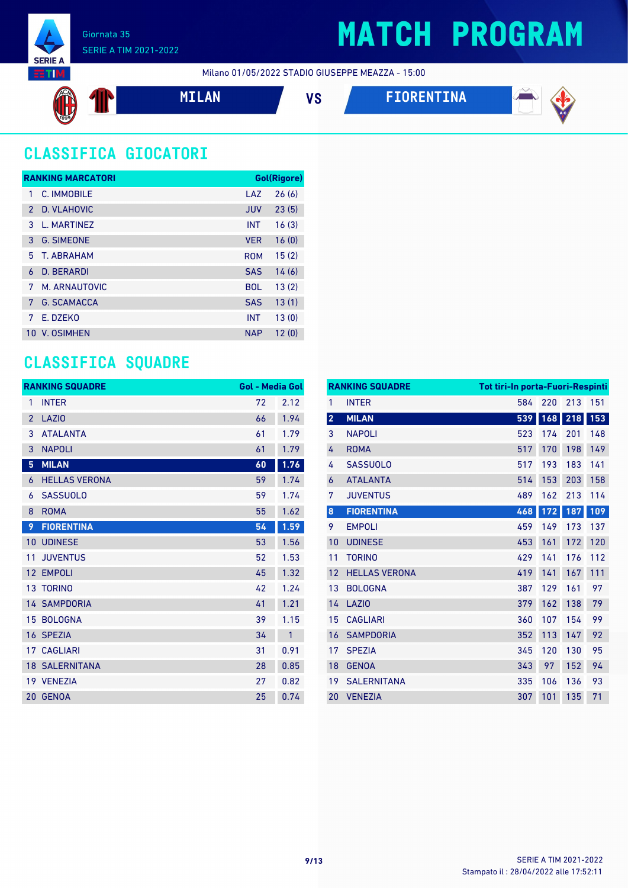

Milano 01/05/2022 STADIO GIUSEPPE MEAZZA - 15:00





### **CLASSIFICA GIOCATORI**

|               | <b>RANKING MARCATORI</b> |            | Gol(Rigore) |
|---------------|--------------------------|------------|-------------|
| 1             | C. IMMOBILE              | LAZ        | 26(6)       |
| $\mathcal{P}$ | D. VLAHOVIC              | <b>JUV</b> | 23(5)       |
| 3             | L. MARTINFZ              | <b>INT</b> | 16(3)       |
| 3             | <b>G. SIMEONE</b>        | <b>VER</b> | 16(0)       |
| 5             | T. ABRAHAM               | <b>ROM</b> | 15(2)       |
| 6             | <b>D. BERARDI</b>        | <b>SAS</b> | 14(6)       |
| 7             | M. ARNAUTOVIC            | <b>BOL</b> | 13(2)       |
| 7             | <b>G. SCAMACCA</b>       | <b>SAS</b> | 13(1)       |
| 7             | E. DZEKO                 | <b>INT</b> | 13(0)       |
| 10            | <b>V. OSIMHEN</b>        | <b>NAP</b> | 12(0)       |

### **CLASSIFICA SQUADRE**

|                 | <b>RANKING SQUADRE</b> | <b>Gol - Media Gol</b> |              |
|-----------------|------------------------|------------------------|--------------|
| 1               | <b>INTER</b>           | 72                     | 2.12         |
| $\overline{2}$  | LAZI <sub>0</sub>      | 66                     | 1.94         |
| 3               | <b>ATALANTA</b>        | 61                     | 1.79         |
| 3               | <b>NAPOLI</b>          | 61                     | 1.79         |
| 5               | <b>MILAN</b>           | 60                     | 1.76         |
| 6               | <b>HELLAS VERONA</b>   | 59                     | 1.74         |
| 6               | <b>SASSUOLO</b>        | 59                     | 1.74         |
| 8               | <b>ROMA</b>            | 55                     | 1.62         |
| 9               | <b>FIORENTINA</b>      | 54                     | 1.59         |
| 10              | <b>UDINESE</b>         | 53                     | 1.56         |
| 11              | <b>JUVENTUS</b>        | 52                     | 1.53         |
| 12              | <b>EMPOLI</b>          | 45                     | 1.32         |
| 13 <sup>°</sup> | <b>TORINO</b>          | 42                     | 1.24         |
|                 | <b>14 SAMPDORIA</b>    | 41                     | 1.21         |
| 15              | <b>BOLOGNA</b>         | 39                     | 1.15         |
|                 | 16 SPEZIA              | 34                     | $\mathbf{1}$ |
|                 | <b>17 CAGLIARI</b>     | 31                     | 0.91         |
|                 | <b>18 SALERNITANA</b>  | 28                     | 0.85         |
|                 | 19 VENEZIA             | 27                     | 0.82         |
| 20              | <b>GENOA</b>           | 25                     | 0.74         |

|                | <b>RANKING SQUADRE</b><br>Tot tiri-In porta-Fuori-Respinti |     |     |     |     |
|----------------|------------------------------------------------------------|-----|-----|-----|-----|
| 1              | <b>INTER</b>                                               | 584 | 220 | 213 | 151 |
| $\overline{2}$ | <b>MILAN</b>                                               | 539 | 168 | 218 | 153 |
| 3              | <b>NAPOLI</b>                                              | 523 | 174 | 201 | 148 |
| 4              | <b>ROMA</b>                                                | 517 | 170 | 198 | 149 |
| 4              | <b>SASSUOLO</b>                                            | 517 | 193 | 183 | 141 |
| 6              | <b>ATALANTA</b>                                            | 514 | 153 | 203 | 158 |
| 7              | <b>JUVENTUS</b>                                            | 489 | 162 | 213 | 114 |
| $\bf 8$        | <b>FIORENTINA</b>                                          | 468 | 172 | 187 | 109 |
| 9              | <b>EMPOLI</b>                                              | 459 | 149 | 173 | 137 |
| 10             | <b>UDINESE</b>                                             | 453 | 161 | 172 | 120 |
| 11             | <b>TORINO</b>                                              | 429 | 141 | 176 | 112 |
| 12             | <b>HELLAS VERONA</b>                                       | 419 | 141 | 167 | 111 |
| 13             | <b>BOLOGNA</b>                                             | 387 | 129 | 161 | 97  |
| 14             | <b>LAZIO</b>                                               | 379 | 162 | 138 | 79  |
| 15             | <b>CAGLIARI</b>                                            | 360 | 107 | 154 | 99  |
| 16             | <b>SAMPDORIA</b>                                           | 352 | 113 | 147 | 92  |
| 17             | <b>SPEZIA</b>                                              | 345 | 120 | 130 | 95  |
| 18             | <b>GENOA</b>                                               | 343 | 97  | 152 | 94  |
| 19             | <b>SALERNITANA</b>                                         | 335 | 106 | 136 | 93  |
| 20             | <b>VENEZIA</b>                                             | 307 | 101 | 135 | 71  |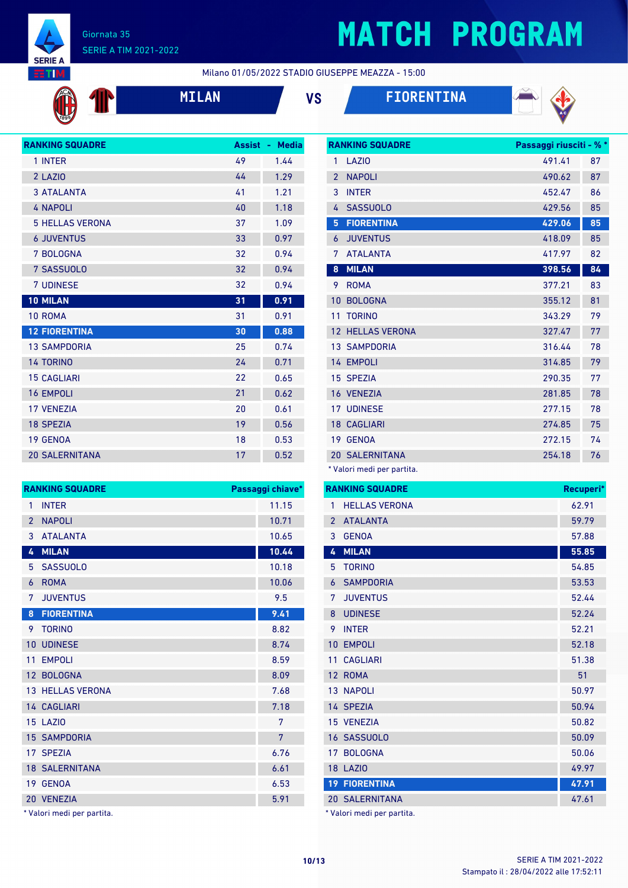

## **MATCH PROGRAM**

**RANKING SQUADRE Passaggi riusciti - % \***

Milano 01/05/2022 STADIO GIUSEPPE MEAZZA - 15:00







| <b>RANKING SQUADRE</b> | <b>Assist</b> | <b>Media</b><br>٠ |
|------------------------|---------------|-------------------|
| 1 INTER                | 49            | 1.44              |
| 2 LAZIO                | 44            | 1.29              |
| <b>3 ATALANTA</b>      | 41            | 1.21              |
| <b>4 NAPOLI</b>        | 40            | 1.18              |
| <b>5 HELLAS VERONA</b> | 37            | 1.09              |
| <b>6 JUVENTUS</b>      | 33            | 0.97              |
| 7 BOLOGNA              | 32            | 0.94              |
| 7 SASSUOLO             | 32            | 0.94              |
| <b>7 UDINESE</b>       | 32            | 0.94              |
| <b>10 MILAN</b>        | 31            | 0.91              |
| 10 ROMA                | 31            | 0.91              |
| <b>12 FIORENTINA</b>   | 30            | 0.88              |
| <b>13 SAMPDORIA</b>    | 25            | 0.74              |
| <b>14 TORINO</b>       | 24            | 0.71              |
| <b>15 CAGLIARI</b>     | 22            | 0.65              |
| <b>16 EMPOLI</b>       | 21            | 0.62              |
| <b>17 VFNF7IA</b>      | 20            | 0.61              |
| <b>18 SPEZIA</b>       | 19            | 0.56              |
| 19 GENOA               | 18            | 0.53              |
| <b>20 SALERNITANA</b>  | 17            | 0.52              |

| 24 | 0.71             |                | 14 EMPOLI                  |
|----|------------------|----------------|----------------------------|
| 22 | 0.65             |                | 15 SPEZIA                  |
| 21 | 0.62             |                | 16 VENEZIA                 |
| 20 | 0.61             |                | <b>17 UDINESE</b>          |
| 19 | 0.56             |                | <b>18 CAGLIARI</b>         |
| 18 | 0.53             |                | 19 GENOA                   |
| 17 | 0.52             |                | <b>20 SALERNITANA</b>      |
|    |                  |                | * Valori medi per partita. |
|    | Passaggi chiave* |                | <b>RANKING SQUADRE</b>     |
|    | 11.15            | $\mathbf{1}$   | <b>HELLAS VERONA</b>       |
|    | 10.71            | $\overline{2}$ | <b>ATALANTA</b>            |
|    | 10.65            | 3              | <b>GENOA</b>               |
|    | 10.44            | 4              | <b>MILAN</b>               |
|    | 10.18            | 5.             | <b>TORINO</b>              |
|    | 10.06            | 6              | <b>SAMPDORIA</b>           |
|    | 9.5              | 7              | <b>JUVENTUS</b>            |
|    | 9.41             | 8              | <b>UDINESE</b>             |
|    | 8.82             | 9.             | <b>INTER</b>               |
|    | 8.74             |                | 10 EMPOLI                  |
|    | 8.59             |                | 11 CAGLIARI                |
|    | 8.09             |                | 12 ROMA                    |
|    | 7.68             |                | 13 NAPOLI                  |
|    | 7.18             |                | 14 SPEZIA                  |
|    | 7                |                | 15 VENEZIA                 |
|    | $\overline{7}$   |                | 16 SASSUOLO                |
|    | 6.76             |                | 17 BOLOGNA                 |
|    | 6.61             |                | <b>18 LAZIO</b>            |
|    | 6.53             |                | <b>19 FIORENTINA</b>       |

\* Valori medi per partita.

VENEZIA 5.91

18 SALERNITANA

19 GENOA

13 HELLAS VERONA

14 CAGLIARI LAZIO 7 15 SAMPDORIA 17 SPF7IA

**RANKING SQUADRE** 

1 INTER 2 NAPOLI 3 ATALANTA **MILAN 10.44** 5 SASSUOLO 6 ROMA 7 JUVENTUS **FIORENTINA 9.41** 9 TORINO 10 UDINESE 11 EMPOLI 12 BOLOGNA

| 1              | LAZI <sub>0</sub>     | 491.41 | 87 |
|----------------|-----------------------|--------|----|
| $\overline{2}$ | <b>NAPOLI</b>         | 490.62 | 87 |
| 3              | <b>INTER</b>          | 452.47 | 86 |
| 4              | <b>SASSUOLO</b>       | 429.56 | 85 |
| 5              | <b>FIORENTINA</b>     | 429.06 | 85 |
| 6              | <b>JUVENTUS</b>       | 418.09 | 85 |
| 7              | <b>ATALANTA</b>       | 417.97 | 82 |
| 8              | <b>MILAN</b>          | 398.56 | 84 |
| 9              | <b>ROMA</b>           | 377.21 | 83 |
| 10             | <b>BOLOGNA</b>        | 355.12 | 81 |
| 11             | <b>TORINO</b>         | 343.29 | 79 |
| 12             | <b>HELLAS VERONA</b>  | 327.47 | 77 |
|                | <b>13 SAMPDORIA</b>   | 316.44 | 78 |
| 14             | <b>EMPOLI</b>         | 314.85 | 79 |
|                | <b>15 SPEZIA</b>      | 290.35 | 77 |
|                | 16 VENEZIA            | 281.85 | 78 |
| 17             | <b>UDINESE</b>        | 277.15 | 78 |
|                | <b>18 CAGLIARI</b>    | 274.85 | 75 |
|                | 19 GENOA              | 272.15 | 74 |
|                | <b>20 SALERNITANA</b> | 254.18 | 76 |

|                | <b>RANKING SQUADRE</b> | Recuperi* |
|----------------|------------------------|-----------|
| 1              | <b>HELLAS VERONA</b>   | 62.91     |
| $\overline{2}$ | <b>ATALANTA</b>        | 59.79     |
| 3              | <b>GENOA</b>           | 57.88     |
| 4              | <b>MILAN</b>           | 55.85     |
| 5              | <b>TORINO</b>          | 54.85     |
| 6              | <b>SAMPDORIA</b>       | 53.53     |
| 7              | <b>JUVENTUS</b>        | 52.44     |
| 8              | <b>UDINESE</b>         | 52.24     |
| 9              | <b>INTER</b>           | 52.21     |
| 10             | <b>EMPOLI</b>          | 52.18     |
| 11             | <b>CAGLIARI</b>        | 51.38     |
|                | 12 ROMA                | 51        |
|                | <b>13 NAPOLI</b>       | 50.97     |
|                | 14 SPEZIA              | 50.94     |
|                | 15 VENEZIA             | 50.82     |
|                | 16 SASSUOLO            | 50.09     |
|                | 17 BOLOGNA             | 50.06     |
|                | <b>18 LAZIO</b>        | 49.97     |
|                | <b>19 FIORENTINA</b>   | 47.91     |
|                | <b>20 SALERNITANA</b>  | 47.61     |

\* Valori medi per partita.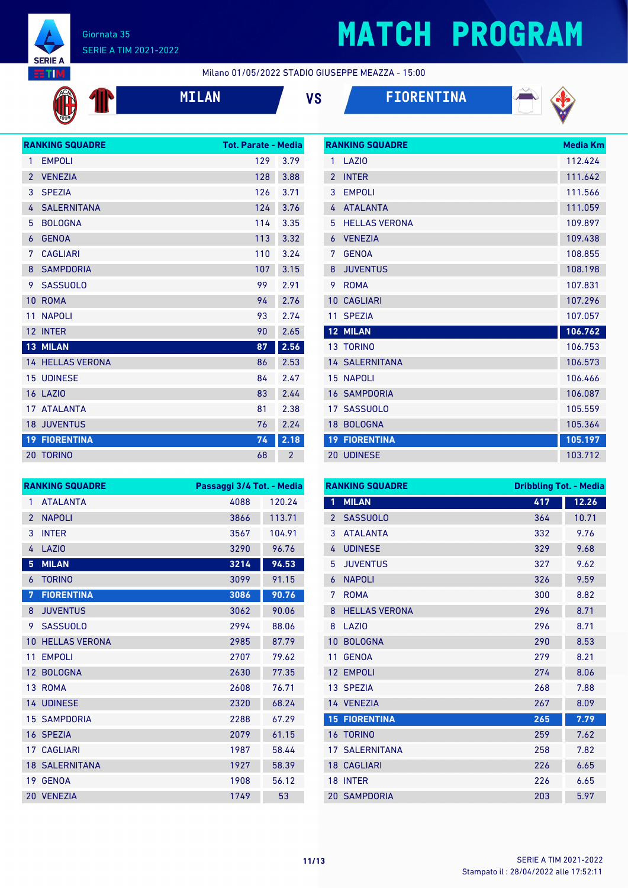

P

# **MATCH PROGRAM**

**RANKING SQUADRE Media Km** 

Milano 01/05/2022 STADIO GIUSEPPE MEAZZA - 15:00

**MILAN VS FIORENTINA**



|                | <b>RANKING SQUADRE</b>  | <b>Tot. Parate - Media</b> |                |
|----------------|-------------------------|----------------------------|----------------|
| 1              | <b>EMPOLI</b>           | 129                        | 3.79           |
| $\overline{2}$ | <b>VENEZIA</b>          | 128                        | 3.88           |
| 3              | <b>SPEZIA</b>           | 126                        | 3.71           |
| 4              | <b>SALERNITANA</b>      | 124                        | 3.76           |
| 5              | <b>BOLOGNA</b>          | 114                        | 3.35           |
| 6              | <b>GENOA</b>            | 113                        | 3.32           |
| 7              | <b>CAGLIARI</b>         | 110                        | 3.24           |
| 8              | <b>SAMPDORIA</b>        | 107                        | 3.15           |
| 9.             | <b>SASSUOLO</b>         | 99                         | 2.91           |
| 10             | <b>ROMA</b>             | 94                         | 2.76           |
| 11             | <b>NAPOLI</b>           | 93                         | 2.74           |
| 12             | <b>INTER</b>            | 90                         | 2.65           |
|                | 13 MILAN                | 87                         | 2.56           |
|                | <b>14 HELLAS VERONA</b> | 86                         | 2.53           |
| 15             | <b>UDINESE</b>          | 84                         | 2.47           |
| 16             | LAZI <sub>0</sub>       | 83                         | 2.44           |
| 17             | <b>ATALANTA</b>         | 81                         | 2.38           |
|                | <b>18 JUVENTUS</b>      | 76                         | 2.24           |
| 19             | <b>FIORENTINA</b>       | 74                         | 2.18           |
|                | <b>20 TORINO</b>        | 68                         | $\overline{2}$ |

| 1               | <b>LAZIO</b>          | 112.424 |
|-----------------|-----------------------|---------|
| $\mathfrak{p}$  | <b>INTFR</b>          | 111.642 |
| 3               | <b>EMPOLI</b>         | 111.566 |
| 4               | <b>ATALANTA</b>       | 111.059 |
| 5               | <b>HELLAS VERONA</b>  | 109.897 |
| 6               | <b>VENEZIA</b>        | 109.438 |
| 7               | <b>GENOA</b>          | 108.855 |
| 8               | <b>JUVENTUS</b>       | 108.198 |
| 9               | <b>ROMA</b>           | 107.831 |
| 10 <sup>°</sup> | <b>CAGLIARI</b>       | 107.296 |
| 11              | <b>SPEZIA</b>         |         |
|                 |                       | 107.057 |
|                 | <b>12 MILAN</b>       | 106.762 |
|                 | 13 TORINO             | 106.753 |
|                 | <b>14 SALERNITANA</b> | 106.573 |
|                 | <b>15 NAPOLI</b>      | 106.466 |
|                 | <b>16 SAMPDORIA</b>   | 106.087 |
|                 | 17 SASSUOLO           | 105.559 |
| 18              | <b>BOLOGNA</b>        | 105.364 |
|                 | <b>19 FIORENTINA</b>  | 105.197 |

|                 | <b>RANKING SQUADRE</b> | Passaggi 3/4 Tot. - Media |        |
|-----------------|------------------------|---------------------------|--------|
| $\mathbf{1}$    | <b>ATALANTA</b>        | 4088                      | 120.24 |
| $\overline{2}$  | <b>NAPOLI</b>          | 3866                      | 113.71 |
| 3               | <b>INTER</b>           | 3567                      | 104.91 |
| 4               | <b>LAZIO</b>           | 3290                      | 96.76  |
| 5               | <b>MILAN</b>           | 3214                      | 94.53  |
| 6               | <b>TORINO</b>          | 3099                      | 91.15  |
| 7               | <b>FIORENTINA</b>      | 3086                      | 90.76  |
| 8               | <b>JUVENTUS</b>        | 3062                      | 90.06  |
| 9               | <b>SASSUOLO</b>        | 2994                      | 88.06  |
| 10              | <b>HELLAS VERONA</b>   | 2985                      | 87.79  |
| 11              | <b>EMPOLI</b>          | 2707                      | 79.62  |
| 12 <sup>2</sup> | <b>BOLOGNA</b>         | 2630                      | 77.35  |
|                 | 13 ROMA                | 2608                      | 76.71  |
|                 | 14 UDINESE             | 2320                      | 68.24  |
|                 | <b>15 SAMPDORIA</b>    | 2288                      | 67.29  |
| 16 <sup>1</sup> | <b>SPEZIA</b>          | 2079                      | 61.15  |
| 17 <sup>2</sup> | <b>CAGLIARI</b>        | 1987                      | 58.44  |
|                 | <b>18 SALERNITANA</b>  | 1927                      | 58.39  |
| 19              | <b>GENOA</b>           | 1908                      | 56.12  |
| 20 <sup>°</sup> | <b>VENEZIA</b>         | 1749                      | 53     |

|                | <b>RANKING SQUADRE</b> | <b>Dribbling Tot. - Media</b> |       |
|----------------|------------------------|-------------------------------|-------|
| 1              | <b>MILAN</b>           | 417                           | 12.26 |
| $\overline{2}$ | <b>SASSUOLO</b>        | 364                           | 10.71 |
| 3              | <b>ATALANTA</b>        | 332                           | 9.76  |
| 4              | <b>UDINESE</b>         | 329                           | 9.68  |
| 5              | <b>JUVENTUS</b>        | 327                           | 9.62  |
| 6              | <b>NAPOLI</b>          | 326                           | 9.59  |
| 7              | <b>ROMA</b>            | 300                           | 8.82  |
| 8              | <b>HELLAS VERONA</b>   | 296                           | 8.71  |
| 8              | LAZI <sub>0</sub>      | 296                           | 8.71  |
| 10             | <b>BOLOGNA</b>         | 290                           | 8.53  |
| 11             | <b>GENOA</b>           | 279                           | 8.21  |
| 12             | <b>EMPOLI</b>          | 274                           | 8.06  |
|                | 13 SPEZIA              | 268                           | 7.88  |
|                | 14 VENEZIA             | 267                           | 8.09  |
|                | <b>15 FIORENTINA</b>   | 265                           | 7.79  |
|                | <b>16 TORINO</b>       | 259                           | 7.62  |
| 17             | SALERNITANA            | 258                           | 7.82  |
|                | <b>18 CAGLIARI</b>     | 226                           | 6.65  |
| 18             | <b>INTER</b>           | 226                           | 6.65  |
|                | <b>20 SAMPDORIA</b>    | 203                           | 5.97  |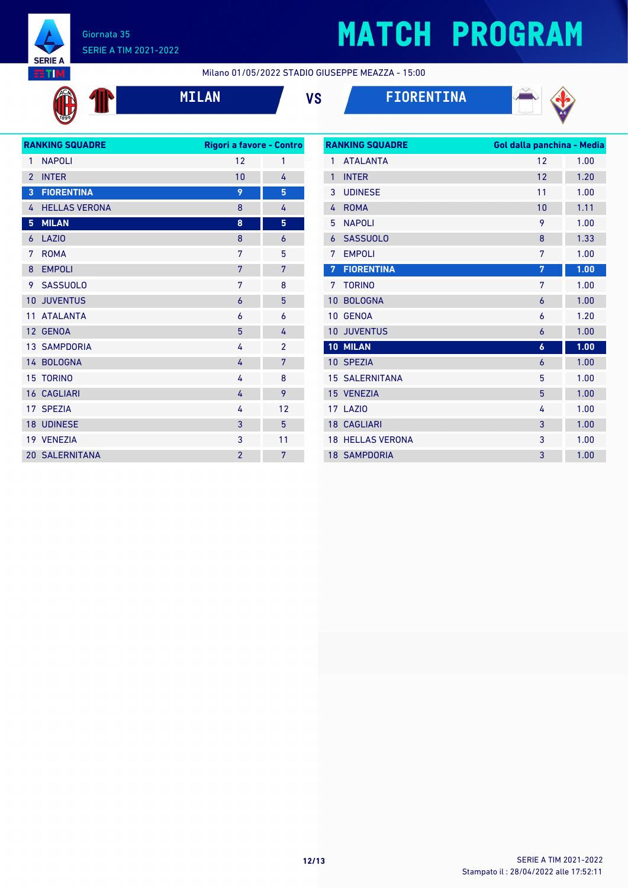

# **MATCH PROGRAM**

Milano 01/05/2022 STADIO GIUSEPPE MEAZZA - 15:00









|                 | <b>RANKING SQUADRE</b> | Rigori a favore - Contro |                |
|-----------------|------------------------|--------------------------|----------------|
| 1               | <b>NAPOLI</b>          | 12                       | 1              |
| $\overline{2}$  | <b>INTER</b>           | 10                       | 4              |
| 3               | <b>FIORENTINA</b>      | 9                        | 5              |
| 4               | <b>HELLAS VERONA</b>   | 8                        | 4              |
| 5               | <b>MILAN</b>           | 8                        | 5              |
| 6               | <b>LAZIO</b>           | 8                        | 6              |
| 7               | <b>ROMA</b>            | 7                        | 5              |
| 8               | <b>EMPOLI</b>          | 7                        | 7              |
| 9               | <b>SASSUOLO</b>        | 7                        | 8              |
| 10              | <b>JUVENTUS</b>        | 6                        | 5              |
| 11              | <b>ATALANTA</b>        | 6                        | 6              |
| 12 <sup>7</sup> | <b>GENOA</b>           | 5                        | 4              |
|                 | <b>13 SAMPDORIA</b>    | 4                        | $\overline{2}$ |
|                 | 14 BOLOGNA             | 4                        | 7              |
| 15              | <b>TORINO</b>          | 4                        | 8              |
|                 | <b>16 CAGLIARI</b>     | 4                        | 9              |
|                 | 17 SPEZIA              | 4                        | 12             |
|                 | <b>18 UDINESE</b>      | 3                        | 5              |
|                 | 19 VENEZIA             | 3                        | 11             |
|                 | <b>20 SALERNITANA</b>  | $\overline{2}$           | 7              |
|                 |                        |                          |                |

|        | <b>RANKING SQUADRE</b> | Gol dalla panchina - Media |      |
|--------|------------------------|----------------------------|------|
| 1      | <b>ATALANTA</b>        | 12                         | 1.00 |
| 1      | <b>INTER</b>           | 12                         | 1.20 |
| 3      | <b>UDINESE</b>         | 11                         | 1.00 |
| 4      | <b>ROMA</b>            | 10                         | 1.11 |
| 5      | <b>NAPOLI</b>          | 9                          | 1.00 |
| 6      | <b>SASSUOLO</b>        | 8                          | 1.33 |
| 7      | <b>EMPOLI</b>          | 7                          | 1.00 |
| 7      | <b>FIORENTINA</b>      | 7                          | 1.00 |
| 7      | <b>TORINO</b>          | 7                          | 1.00 |
| 10     | <b>BOLOGNA</b>         | 6                          | 1.00 |
| 10     | <b>GENOA</b>           | 6                          | 1.20 |
| 10     | <b>JUVENTUS</b>        | 6                          | 1.00 |
| $10-1$ | <b>MILAN</b>           | $\boldsymbol{6}$           | 1.00 |
|        | 10 SPEZIA              | 6                          | 1.00 |
|        | <b>15 SALERNITANA</b>  | 5                          | 1.00 |
|        | 15 VENEZIA             | 5                          | 1.00 |
|        | 17 LAZIO               | 4                          | 1.00 |
|        | <b>18 CAGLIARI</b>     | 3                          | 1.00 |
| 18     | <b>HELLAS VERONA</b>   | 3                          | 1.00 |
|        | <b>18 SAMPDORIA</b>    | 3                          | 1.00 |